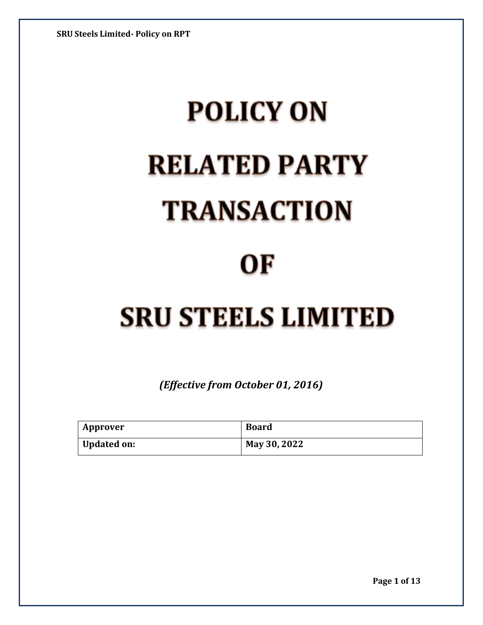# **POLICY ON RELATED PARTY TRANSACTION**

### OF

## **SRU STEELS LIMITED**

*(Effective from October 01, 2016)*

| Approver           | <b>Board</b> |
|--------------------|--------------|
| <b>Updated on:</b> | May 30, 2022 |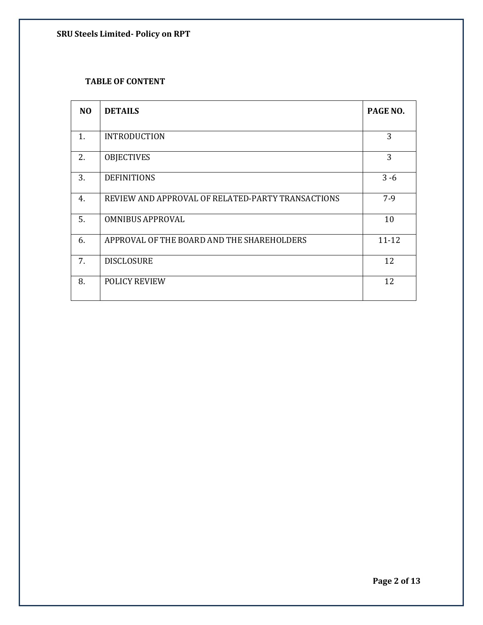#### **TABLE OF CONTENT**

| N <sub>O</sub> | <b>DETAILS</b>                                    | PAGE NO.  |
|----------------|---------------------------------------------------|-----------|
| 1.             | <b>INTRODUCTION</b>                               | 3         |
| 2.             | <b>OBJECTIVES</b>                                 | 3         |
| 3.             | <b>DEFINITIONS</b>                                | $3 - 6$   |
| 4.             | REVIEW AND APPROVAL OF RELATED-PARTY TRANSACTIONS | $7-9$     |
| 5.             | <b>OMNIBUS APPROVAL</b>                           | 10        |
| 6.             | APPROVAL OF THE BOARD AND THE SHAREHOLDERS        | $11 - 12$ |
| 7.             | <b>DISCLOSURE</b>                                 | 12        |
| 8.             | <b>POLICY REVIEW</b>                              | 12        |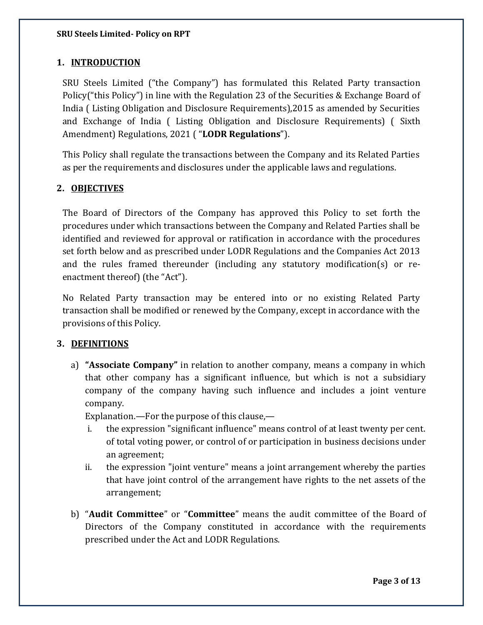#### **1. INTRODUCTION**

SRU Steels Limited ("the Company") has formulated this Related Party transaction Policy("this Policy") in line with the Regulation 23 of the Securities & Exchange Board of India ( Listing Obligation and Disclosure Requirements),2015 as amended by Securities and Exchange of India ( Listing Obligation and Disclosure Requirements) ( Sixth Amendment) Regulations, 2021 ( "**LODR Regulations**").

This Policy shall regulate the transactions between the Company and its Related Parties as per the requirements and disclosures under the applicable laws and regulations.

#### **2. OBJECTIVES**

The Board of Directors of the Company has approved this Policy to set forth the procedures under which transactions between the Company and Related Parties shall be identified and reviewed for approval or ratification in accordance with the procedures set forth below and as prescribed under LODR Regulations and the Companies Act 2013 and the rules framed thereunder (including any statutory modification(s) or reenactment thereof) (the "Act").

No Related Party transaction may be entered into or no existing Related Party transaction shall be modified or renewed by the Company, except in accordance with the provisions of this Policy.

#### **3. DEFINITIONS**

a) **"Associate Company"** in relation to another company, means a company in which that other company has a significant influence, but which is not a subsidiary company of the company having such influence and includes a joint venture company.

Explanation.—For the purpose of this clause,—

- i. the expression "significant influence" means control of at least twenty per cent. of total voting power, or control of or participation in business decisions under an agreement;
- ii. the expression "joint venture" means a joint arrangement whereby the parties that have joint control of the arrangement have rights to the net assets of the arrangement;
- b) "**Audit Committee**" or "**Committee**" means the audit committee of the Board of Directors of the Company constituted in accordance with the requirements prescribed under the Act and LODR Regulations.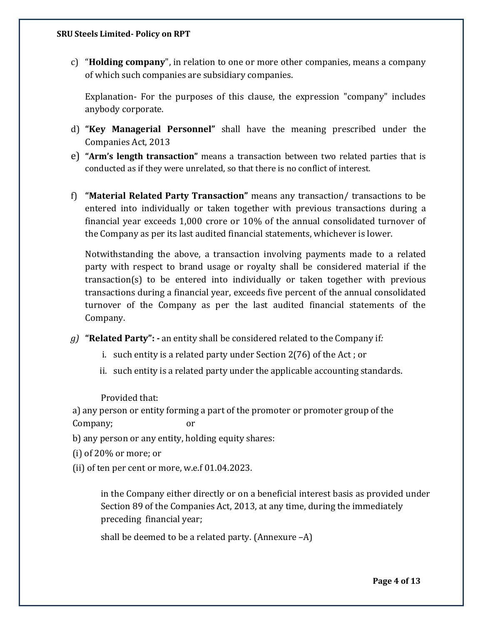c) "**Holding company**", in relation to one or more other companies, means a company of which such companies are subsidiary companies.

Explanation- For the purposes of this clause, the expression "company" includes anybody corporate.

- d) **"Key Managerial Personnel"** shall have the meaning prescribed under the Companies Act, 2013
- e) **"Arm's length transaction"** means a transaction between two related parties that is conducted as if they were unrelated, so that there is no conflict of interest.
- f) **"Material Related Party Transaction"** means any transaction/ transactions to be entered into individually or taken together with previous transactions during a financial year exceeds 1,000 crore or 10% of the annual consolidated turnover of the Company as per its last audited financial statements, whichever is lower.

Notwithstanding the above, a transaction involving payments made to a related party with respect to brand usage or royalty shall be considered material if the transaction(s) to be entered into individually or taken together with previous transactions during a financial year, exceeds five percent of the annual consolidated turnover of the Company as per the last audited financial statements of the Company.

- *g)* **"Related Party": -** an entity shall be considered related to the Company if*:*
	- i. such entity is a related party under Section 2(76) of the Act ; or
	- ii. such entity is a related party under the applicable accounting standards.

Provided that:

a) any person or entity forming a part of the promoter or promoter group of the Company; or

- b) any person or any entity, holding equity shares:
- (i) of 20% or more; or
- (ii) of ten per cent or more, w.e.f 01.04.2023.

in the Company either directly or on a beneficial interest basis as provided under Section 89 of the Companies Act, 2013, at any time, during the immediately preceding financial year;

shall be deemed to be a related party. (Annexure –A)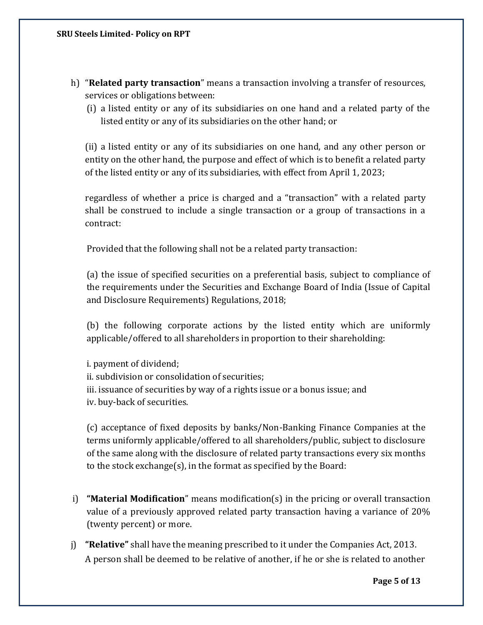- h) "**Related party transaction**" means a transaction involving a transfer of resources, services or obligations between:
	- (i) a listed entity or any of its subsidiaries on one hand and a related party of the listed entity or any of its subsidiaries on the other hand; or

(ii) a listed entity or any of its subsidiaries on one hand, and any other person or entity on the other hand, the purpose and effect of which is to benefit a related party of the listed entity or any of its subsidiaries, with effect from April 1, 2023;

regardless of whether a price is charged and a "transaction" with a related party shall be construed to include a single transaction or a group of transactions in a contract:

Provided that the following shall not be a related party transaction:

(a) the issue of specified securities on a preferential basis, subject to compliance of the requirements under the Securities and Exchange Board of India (Issue of Capital and Disclosure Requirements) Regulations, 2018;

(b) the following corporate actions by the listed entity which are uniformly applicable/offered to all shareholders in proportion to their shareholding:

i. payment of dividend; ii. subdivision or consolidation of securities; iii. issuance of securities by way of a rights issue or a bonus issue; and iv. buy-back of securities.

(c) acceptance of fixed deposits by banks/Non-Banking Finance Companies at the terms uniformly applicable/offered to all shareholders/public, subject to disclosure of the same along with the disclosure of related party transactions every six months to the stock exchange(s), in the format as specified by the Board:

- i) **"Material Modification**" means modification(s) in the pricing or overall transaction value of a previously approved related party transaction having a variance of 20% (twenty percent) or more.
- j) **"Relative"** shall have the meaning prescribed to it under the Companies Act, 2013. A person shall be deemed to be relative of another, if he or she is related to another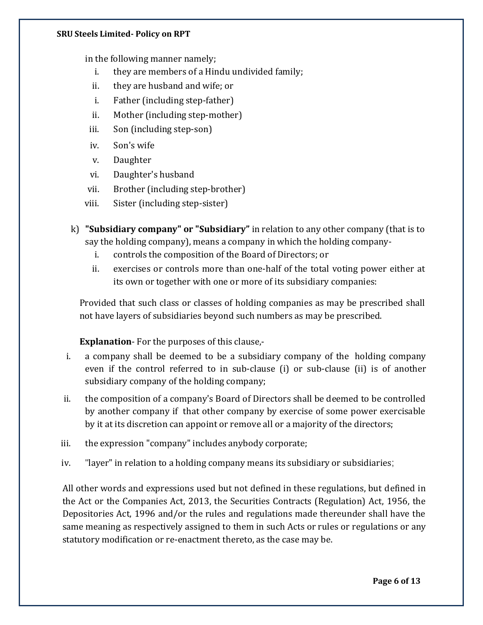in the following manner namely;

- i. they are members of a Hindu undivided family;
- ii. they are husband and wife; or
- i. Father (including step-father)
- ii. Mother (including step-mother)
- iii. Son (including step-son)
- iv. Son's wife
- v. Daughter
- vi. Daughter's husband
- vii. Brother (including step-brother)
- viii. Sister (including step-sister)
- k) **"Subsidiary company" or "Subsidiary"** in relation to any other company (that is to say the holding company), means a company in which the holding company
	- i. controls the composition of the Board of Directors; or
	- ii. exercises or controls more than one-half of the total voting power either at its own or together with one or more of its subsidiary companies:

Provided that such class or classes of holding companies as may be prescribed shall not have layers of subsidiaries beyond such numbers as may be prescribed.

**Explanation**- For the purposes of this clause,-

- i. a company shall be deemed to be a subsidiary company of the holding company even if the control referred to in sub-clause (i) or sub-clause (ii) is of another subsidiary company of the holding company;
- ii. the composition of a company's Board of Directors shall be deemed to be controlled by another company if that other company by exercise of some power exercisable by it at its discretion can appoint or remove all or a majority of the directors;
- iii. the expression "company" includes anybody corporate;
- iv. "layer" in relation to a holding company means its subsidiary or subsidiaries;

All other words and expressions used but not defined in these regulations, but defined in the Act or the Companies Act, 2013, the Securities Contracts (Regulation) Act, 1956, the Depositories Act, 1996 and/or the rules and regulations made thereunder shall have the same meaning as respectively assigned to them in such Acts or rules or regulations or any statutory modification or re-enactment thereto, as the case may be.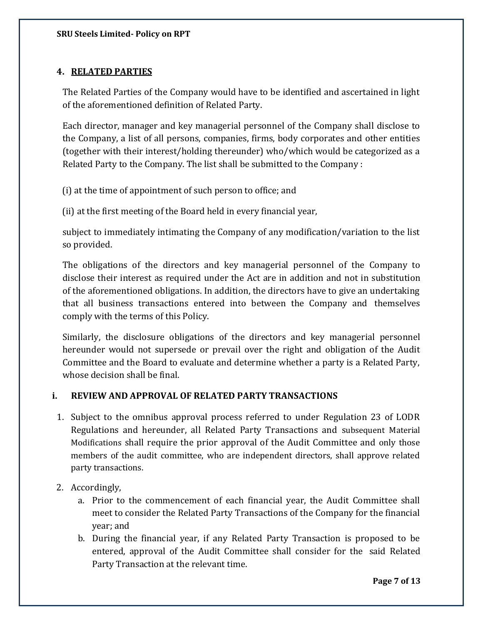#### **4. RELATED PARTIES**

The Related Parties of the Company would have to be identified and ascertained in light of the aforementioned definition of Related Party.

Each director, manager and key managerial personnel of the Company shall disclose to the Company, a list of all persons, companies, firms, body corporates and other entities (together with their interest/holding thereunder) who/which would be categorized as a Related Party to the Company. The list shall be submitted to the Company :

(i) at the time of appointment of such person to office; and

(ii) at the first meeting of the Board held in every financial year,

subject to immediately intimating the Company of any modification/variation to the list so provided.

The obligations of the directors and key managerial personnel of the Company to disclose their interest as required under the Act are in addition and not in substitution of the aforementioned obligations. In addition, the directors have to give an undertaking that all business transactions entered into between the Company and themselves comply with the terms of this Policy.

Similarly, the disclosure obligations of the directors and key managerial personnel hereunder would not supersede or prevail over the right and obligation of the Audit Committee and the Board to evaluate and determine whether a party is a Related Party, whose decision shall be final.

#### **i. REVIEW AND APPROVAL OF RELATED PARTY TRANSACTIONS**

- 1. Subject to the omnibus approval process referred to under Regulation 23 of LODR Regulations and hereunder, all Related Party Transactions and subsequent Material Modifications shall require the prior approval of the Audit Committee and only those members of the audit committee, who are independent directors, shall approve related party transactions.
- 2. Accordingly,
	- a. Prior to the commencement of each financial year, the Audit Committee shall meet to consider the Related Party Transactions of the Company for the financial year; and
	- b. During the financial year, if any Related Party Transaction is proposed to be entered, approval of the Audit Committee shall consider for the said Related Party Transaction at the relevant time.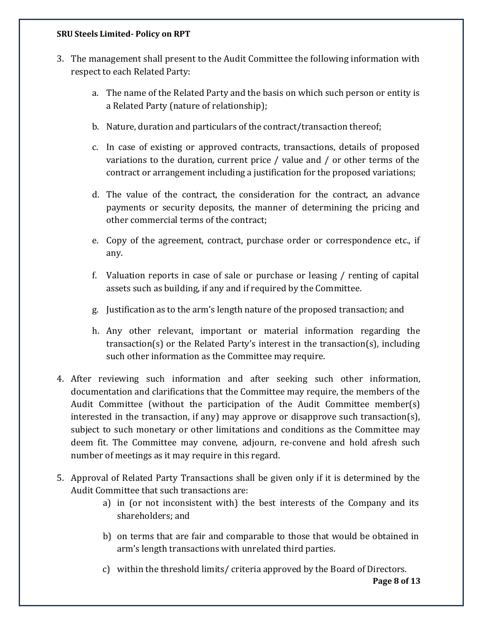- 3. The management shall present to the Audit Committee the following information with respect to each Related Party:
	- a. The name of the Related Party and the basis on which such person or entity is a Related Party (nature of relationship);
	- b. Nature, duration and particulars of the contract/transaction thereof;
	- c. In case of existing or approved contracts, transactions, details of proposed variations to the duration, current price / value and / or other terms of the contract or arrangement including a justification for the proposed variations;
	- d. The value of the contract, the consideration for the contract, an advance payments or security deposits, the manner of determining the pricing and other commercial terms of the contract;
	- e. Copy of the agreement, contract, purchase order or correspondence etc., if any.
	- f. Valuation reports in case of sale or purchase or leasing / renting of capital assets such as building, if any and if required by the Committee.
	- g. Justification as to the arm's length nature of the proposed transaction; and
	- h. Any other relevant, important or material information regarding the transaction(s) or the Related Party's interest in the transaction(s), including such other information as the Committee may require.
- 4. After reviewing such information and after seeking such other information, documentation and clarifications that the Committee may require, the members of the Audit Committee (without the participation of the Audit Committee member(s) interested in the transaction, if any) may approve or disapprove such transaction(s), subject to such monetary or other limitations and conditions as the Committee may deem fit. The Committee may convene, adjourn, re-convene and hold afresh such number of meetings as it may require in this regard.
- 5. Approval of Related Party Transactions shall be given only if it is determined by the Audit Committee that such transactions are:
	- a) in (or not inconsistent with) the best interests of the Company and its shareholders; and
	- b) on terms that are fair and comparable to those that would be obtained in arm's length transactions with unrelated third parties.
	- c) within the threshold limits/ criteria approved by the Board of Directors.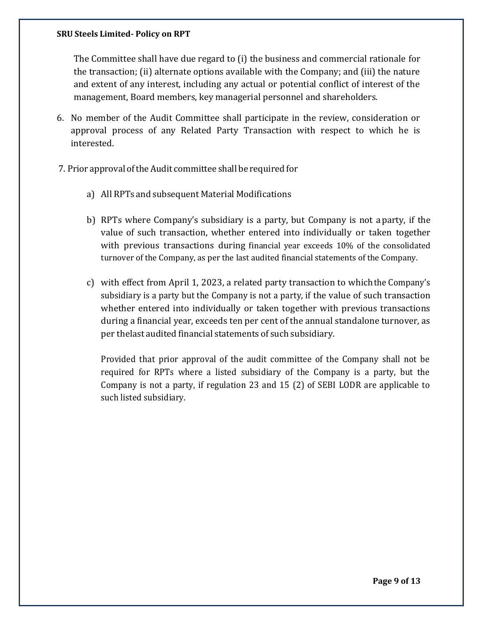The Committee shall have due regard to (i) the business and commercial rationale for the transaction; (ii) alternate options available with the Company; and (iii) the nature and extent of any interest, including any actual or potential conflict of interest of the management, Board members, key managerial personnel and shareholders.

- 6. No member of the Audit Committee shall participate in the review, consideration or approval process of any Related Party Transaction with respect to which he is interested.
- 7. Prior approval oftheAudit committee shall be required for
	- a) All RPTs and subsequent Material Modifications
	- b) RPTs where Company's subsidiary is a party, but Company is not a party, if the value of such transaction, whether entered into individually or taken together with previous transactions during financial year exceeds 10% of the consolidated turnover of the Company, as per the last audited financial statements of the Company.
	- c) with effect from April 1, 2023, a related party transaction to whichthe Company's subsidiary is a party but the Company is not a party, if the value of such transaction whether entered into individually or taken together with previous transactions during a financial year, exceeds ten per cent of the annual standalone turnover, as per thelast audited financial statements of such subsidiary.

Provided that prior approval of the audit committee of the Company shall not be required for RPTs where a listed subsidiary of the Company is a party, but the Company is not a party, if regulation 23 and 15 (2) of SEBI LODR are applicable to such listed subsidiary.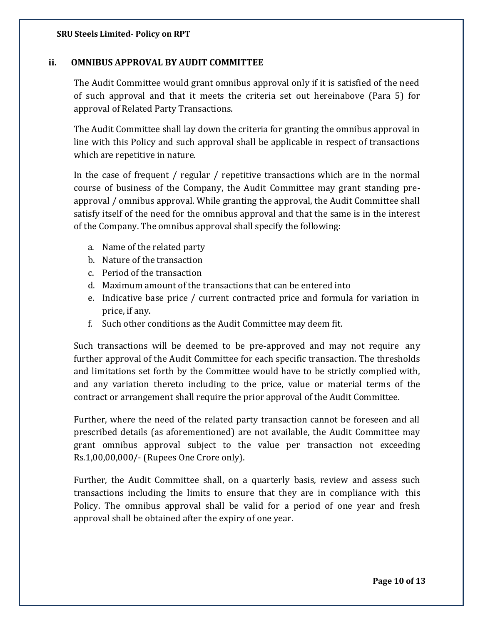#### **ii. OMNIBUS APPROVAL BY AUDIT COMMITTEE**

The Audit Committee would grant omnibus approval only if it is satisfied of the need of such approval and that it meets the criteria set out hereinabove (Para 5) for approval of Related Party Transactions.

The Audit Committee shall lay down the criteria for granting the omnibus approval in line with this Policy and such approval shall be applicable in respect of transactions which are repetitive in nature.

In the case of frequent / regular / repetitive transactions which are in the normal course of business of the Company, the Audit Committee may grant standing preapproval / omnibus approval. While granting the approval, the Audit Committee shall satisfy itself of the need for the omnibus approval and that the same is in the interest of the Company. The omnibus approval shall specify the following:

- a. Name of the related party
- b. Nature of the transaction
- c. Period of the transaction
- d. Maximum amount of the transactions that can be entered into
- e. Indicative base price / current contracted price and formula for variation in price, if any.
- f. Such other conditions as the Audit Committee may deem fit.

Such transactions will be deemed to be pre-approved and may not require any further approval of the Audit Committee for each specific transaction. The thresholds and limitations set forth by the Committee would have to be strictly complied with, and any variation thereto including to the price, value or material terms of the contract or arrangement shall require the prior approval of the Audit Committee.

Further, where the need of the related party transaction cannot be foreseen and all prescribed details (as aforementioned) are not available, the Audit Committee may grant omnibus approval subject to the value per transaction not exceeding Rs.1,00,00,000/- (Rupees One Crore only).

Further, the Audit Committee shall, on a quarterly basis, review and assess such transactions including the limits to ensure that they are in compliance with this Policy. The omnibus approval shall be valid for a period of one year and fresh approval shall be obtained after the expiry of one year.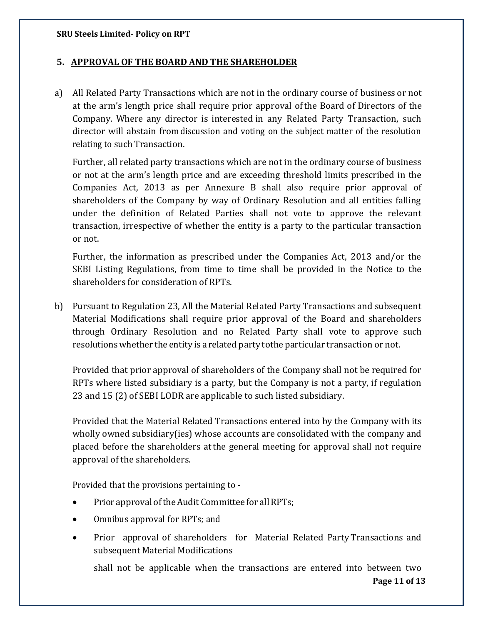#### **5. APPROVAL OF THE BOARD AND THE SHAREHOLDER**

a) All Related Party Transactions which are not in the ordinary course of business or not at the arm's length price shall require prior approval ofthe Board of Directors of the Company. Where any director is interested in any Related Party Transaction, such director will abstain fromdiscussion and voting on the subject matter of the resolution relating to such Transaction.

Further, all related party transactions which are not in the ordinary course of business or not at the arm's length price and are exceeding threshold limits prescribed in the Companies Act, 2013 as per Annexure B shall also require prior approval of shareholders of the Company by way of Ordinary Resolution and all entities falling under the definition of Related Parties shall not vote to approve the relevant transaction, irrespective of whether the entity is a party to the particular transaction or not.

Further, the information as prescribed under the Companies Act, 2013 and/or the SEBI Listing Regulations, from time to time shall be provided in the Notice to the shareholders for consideration of RPTs.

b) Pursuant to Regulation 23, All the Material Related Party Transactions and subsequent Material Modifications shall require prior approval of the Board and shareholders through Ordinary Resolution and no Related Party shall vote to approve such resolutionswhether the entity is a related party tothe particular transaction or not.

Provided that prior approval of shareholders of the Company shall not be required for RPTs where listed subsidiary is a party, but the Company is not a party, if regulation 23 and 15 (2) of SEBI LODR are applicable to such listed subsidiary.

Provided that the Material Related Transactions entered into by the Company with its wholly owned subsidiary(ies) whose accounts are consolidated with the company and placed before the shareholders atthe general meeting for approval shall not require approval of the shareholders.

Provided that the provisions pertaining to -

- Prior approval of the Audit Committee for all RPTs;
- Omnibus approval for RPTs; and
- Prior approval of shareholders for Material Related Party Transactions and subsequent Material Modifications

**Page 11 of 13** shall not be applicable when the transactions are entered into between two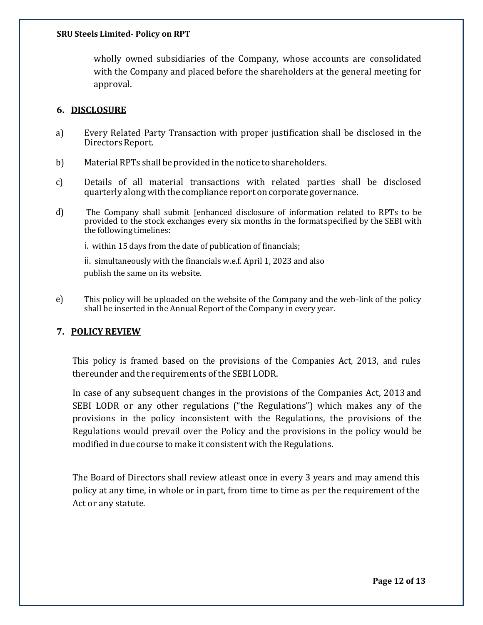wholly owned subsidiaries of the Company, whose accounts are consolidated with the Company and placed before the shareholders at the general meeting for approval.

#### **6. DISCLOSURE**

- a) Every Related Party Transaction with proper justification shall be disclosed in the Directors Report.
- b) Material RPTs shall be provided in the notice to shareholders.
- c) Details of all material transactions with related parties shall be disclosed quarterly along with the compliance report on corporate governance.
- d) The Company shall submit [enhanced disclosure of information related to RPTs to be provided to the stock exchanges every six months in the formatspecified by the SEBI with the following timelines:

i. within 15 days from the date of publication of financials;

ii. simultaneously with the financials w.e.f. April 1, 2023 and also publish the same on its website.

e) This policy will be uploaded on the website of the Company and the web-link of the policy shall be inserted in the Annual Report of the Company in every year.

#### **7. POLICY REVIEW**

This policy is framed based on the provisions of the Companies Act, 2013, and rules thereunder and the requirements of the SEBI LODR.

In case of any subsequent changes in the provisions of the Companies Act, 2013 and SEBI LODR or any other regulations ("the Regulations") which makes any of the provisions in the policy inconsistent with the Regulations, the provisions of the Regulations would prevail over the Policy and the provisions in the policy would be modified in due course to make it consistent with the Regulations.

The Board of Directors shall review atleast once in every 3 years and may amend this policy at any time, in whole or in part, from time to time as per the requirement of the Act or any statute.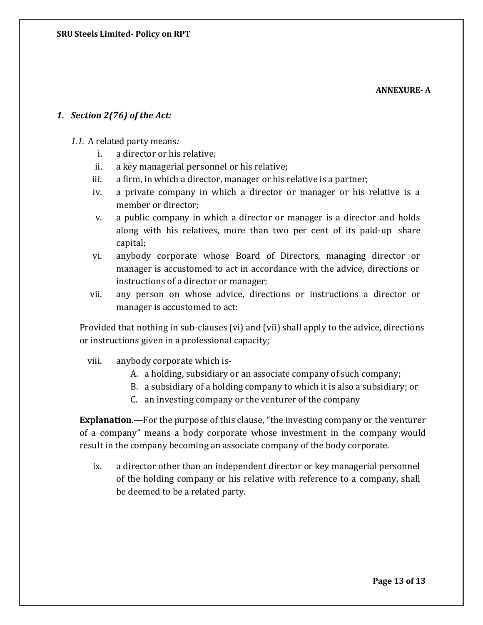**ANNEXURE- A**

#### *1. Section 2(76) of the Act:*

#### *1.1.* A related party means*:*

- i. a director or his relative;
- ii. a key managerial personnel or his relative;
- iii. a firm, in which a director, manager or his relative is a partner;
- iv. a private company in which a director or manager or his relative is a member or director;
- v. a public company in which a director or manager is a director and holds along with his relatives, more than two per cent of its paid-up share capital;
- vi. anybody corporate whose Board of Directors, managing director or manager is accustomed to act in accordance with the advice, directions or instructions of a director or manager;
- vii. any person on whose advice, directions or instructions a director or manager is accustomed to act:

Provided that nothing in sub-clauses (vi) and (vii) shall apply to the advice, directions or instructions given in a professional capacity;

- viii. anybody corporate which is-
	- A. a holding, subsidiary or an associate company of such company;
	- B. a subsidiary of a holding company to which it is also a subsidiary; or
	- C. an investing company or the venturer of the company

**Explanation**.—For the purpose of this clause, "the investing company or the venturer of a company" means a body corporate whose investment in the company would result in the company becoming an associate company of the body corporate.

ix. a director other than an independent director or key managerial personnel of the holding company or his relative with reference to a company, shall be deemed to be a related party.